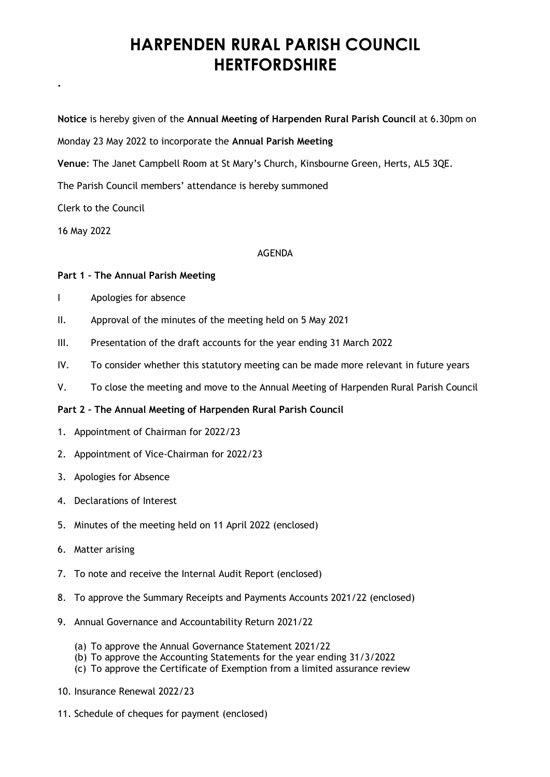## **HARPENDEN RURAL PARISH COUNCIL HERTFORDSHIRE**

**Notice** is hereby given of the **Annual Meeting of Harpenden Rural Parish Council** at 6.30pm on

Monday 23 May 2022 to incorporate the **Annual Parish Meeting**

**Venue**: The Janet Campbell Room at St Mary's Church, Kinsbourne Green, Herts, AL5 3QE.

The Parish Council members' attendance is hereby summoned

Clerk to the Council

16 May 2022

**.**

## AGENDA

## **Part 1 – The Annual Parish Meeting**

- I Apologies for absence
- II. Approval of the minutes of the meeting held on 5 May 2021
- III. Presentation of the draft accounts for the year ending 31 March 2022
- IV. To consider whether this statutory meeting can be made more relevant in future years
- V. To close the meeting and move to the Annual Meeting of Harpenden Rural Parish Council

## **Part 2 – The Annual Meeting of Harpenden Rural Parish Council**

- 1. Appointment of Chairman for 2022/23
- 2. Appointment of Vice-Chairman for 2022/23
- 3. Apologies for Absence
- 4. Declarations of Interest
- 5. Minutes of the meeting held on 11 April 2022 (enclosed)
- 6. Matter arising
- 7. To note and receive the Internal Audit Report (enclosed)
- 8. To approve the Summary Receipts and Payments Accounts 2021/22 (enclosed)
- 9. Annual Governance and Accountability Return 2021/22
	- (a) To approve the Annual Governance Statement 2021/22
	- (b) To approve the Accounting Statements for the year ending 31/3/2022
	- (c) To approve the Certificate of Exemption from a limited assurance review
- 10. Insurance Renewal 2022/23
- 11. Schedule of cheques for payment (enclosed)